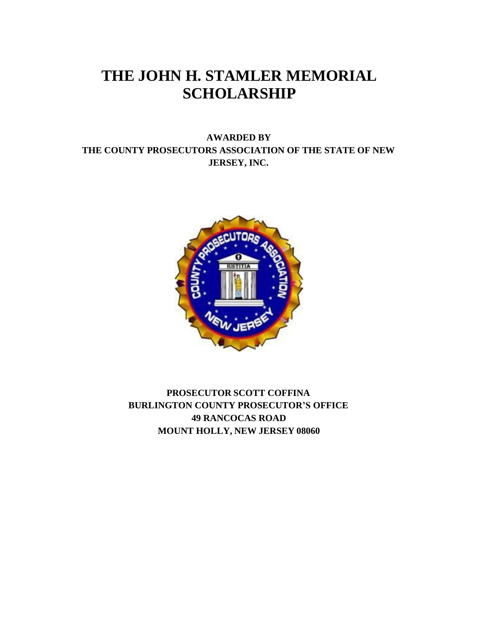# **THE JOHN H. STAMLER MEMORIAL SCHOLARSHIP**

### **AWARDED BY THE COUNTY PROSECUTORS ASSOCIATION OF THE STATE OF NEW JERSEY, INC.**



**PROSECUTOR SCOTT COFFINA BURLINGTON COUNTY PROSECUTOR'S OFFICE 49 RANCOCAS ROAD MOUNT HOLLY, NEW JERSEY 08060**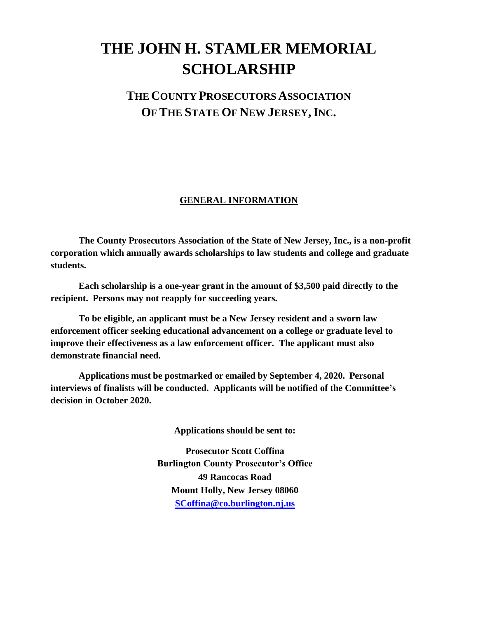# **THE JOHN H. STAMLER MEMORIAL SCHOLARSHIP**

## **THECOUNTY PROSECUTORS ASSOCIATION OF THE STATE OF NEW JERSEY,INC.**

#### **GENERAL INFORMATION**

**The County Prosecutors Association of the State of New Jersey, Inc., is a non-profit corporation which annually awards scholarships to law students and college and graduate students.**

**Each scholarship is a one-year grant in the amount of \$3,500 paid directly to the recipient. Persons may not reapply for succeeding years.**

**To be eligible, an applicant must be a New Jersey resident and a sworn law enforcement officer seeking educational advancement on a college or graduate level to improve their effectiveness as a law enforcement officer. The applicant must also demonstrate financial need.**

**Applications must be postmarked or emailed by September 4, 2020. Personal interviews of finalists will be conducted. Applicants will be notified of the Committee's decision in October 2020.**

**Applications should be sent to:**

**Prosecutor Scott Coffina Burlington County Prosecutor's Office 49 Rancocas Road Mount Holly, New Jersey 08060 [SCoffina@co.burlington.nj.us](mailto:SCoffina@co.burlington.nj.us)**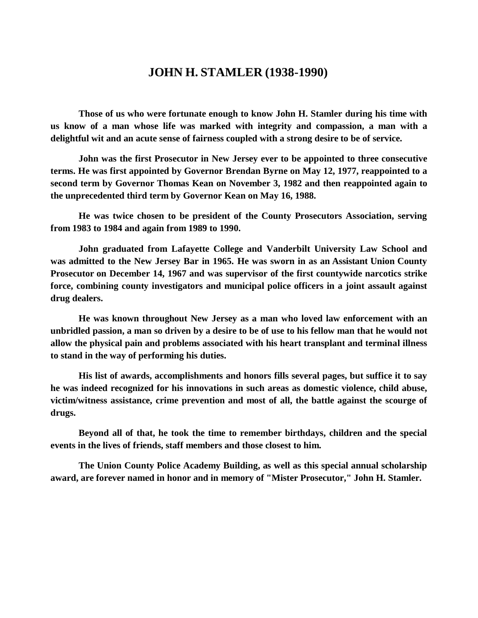## **JOHN H. STAMLER (1938-1990)**

**Those of us who were fortunate enough to know John H. Stamler during his time with us know of a man whose life was marked with integrity and compassion, a man with a delightful wit and an acute sense of fairness coupled with a strong desire to be of service.**

**John was the first Prosecutor in New Jersey ever to be appointed to three consecutive terms. He was first appointed by Governor Brendan Byrne on May 12, 1977, reappointed to a second term by Governor Thomas Kean on November 3, 1982 and then reappointed again to the unprecedented third term by Governor Kean on May 16, 1988.**

**He was twice chosen to be president of the County Prosecutors Association, serving from 1983 to 1984 and again from 1989 to 1990.**

**John graduated from Lafayette College and Vanderbilt University Law School and was admitted to the New Jersey Bar in 1965. He was sworn in as an Assistant Union County Prosecutor on December 14, 1967 and was supervisor of the first countywide narcotics strike force, combining county investigators and municipal police officers in a joint assault against drug dealers.**

**He was known throughout New Jersey as a man who loved law enforcement with an unbridled passion, a man so driven by a desire to be of use to his fellow man that he would not allow the physical pain and problems associated with his heart transplant and terminal illness to stand in the way of performing his duties.**

**His list of awards, accomplishments and honors fills several pages, but suffice it to say he was indeed recognized for his innovations in such areas as domestic violence, child abuse, victim/witness assistance, crime prevention and most of all, the battle against the scourge of drugs.**

**Beyond all of that, he took the time to remember birthdays, children and the special events in the lives of friends, staff members and those closest to him.**

**The Union County Police Academy Building, as well as this special annual scholarship award, are forever named in honor and in memory of "Mister Prosecutor," John H. Stamler.**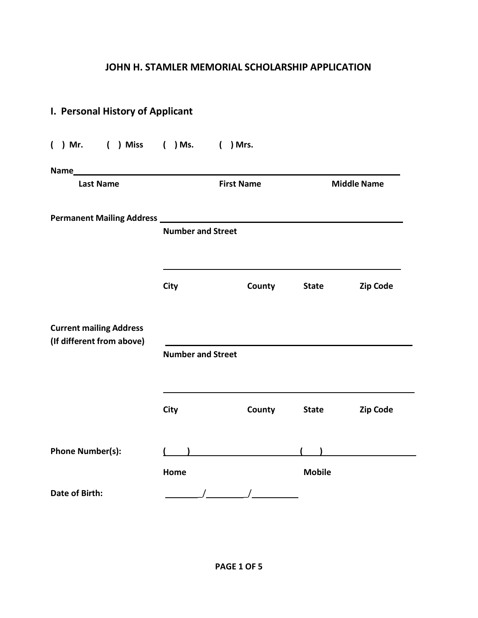## **JOHN H. STAMLER MEMORIAL SCHOLARSHIP APPLICATION**

| I. Personal History of Applicant  |                          |                   |               |                    |  |  |
|-----------------------------------|--------------------------|-------------------|---------------|--------------------|--|--|
| ( ) Mr. ( ) Miss ( ) Ms. ( ) Mrs. |                          |                   |               |                    |  |  |
| Name                              |                          |                   |               |                    |  |  |
| <b>Last Name</b>                  |                          | <b>First Name</b> |               | <b>Middle Name</b> |  |  |
|                                   |                          |                   |               |                    |  |  |
|                                   | <b>Number and Street</b> |                   |               |                    |  |  |
|                                   |                          |                   |               |                    |  |  |
|                                   | City                     | <b>County</b>     | <b>State</b>  | <b>Zip Code</b>    |  |  |
|                                   |                          |                   |               |                    |  |  |
| <b>Current mailing Address</b>    |                          |                   |               |                    |  |  |
| (If different from above)         | <b>Number and Street</b> |                   |               |                    |  |  |
|                                   |                          |                   |               |                    |  |  |
|                                   | City                     | <b>County</b>     | <b>State</b>  | <b>Zip Code</b>    |  |  |
|                                   |                          |                   |               |                    |  |  |
| <b>Phone Number(s):</b>           |                          |                   |               |                    |  |  |
|                                   | Home                     |                   | <b>Mobile</b> |                    |  |  |
| Date of Birth:                    |                          |                   |               |                    |  |  |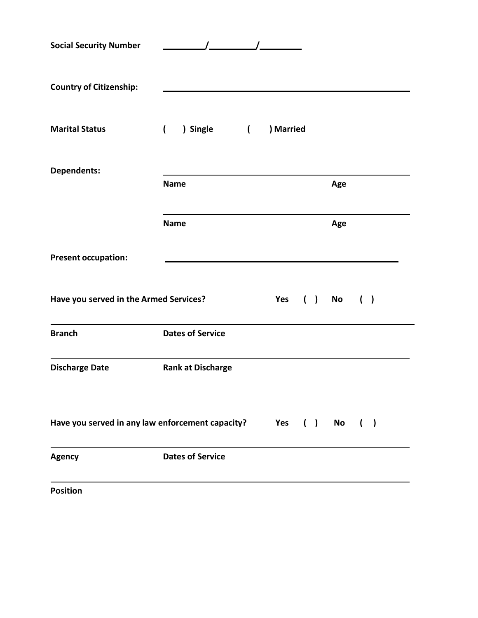| <b>Social Security Number</b>                        |                              |           |                |     |  |
|------------------------------------------------------|------------------------------|-----------|----------------|-----|--|
| <b>Country of Citizenship:</b>                       |                              |           |                |     |  |
| <b>Marital Status</b>                                | ) Single (<br>$\overline{ }$ | ) Married |                |     |  |
| <b>Dependents:</b>                                   | <b>Name</b>                  |           | Age            |     |  |
|                                                      | <b>Name</b>                  |           | Age            |     |  |
| <b>Present occupation:</b>                           |                              |           |                |     |  |
| Have you served in the Armed Services?               |                              | Yes       | $( )$ No       | ( ) |  |
| <b>Branch</b>                                        | <b>Dates of Service</b>      |           |                |     |  |
| <b>Discharge Date</b>                                | <b>Rank at Discharge</b>     |           |                |     |  |
| Have you served in any law enforcement capacity? Yes |                              |           | $( )$ No $( )$ |     |  |
| <b>Agency</b>                                        | <b>Dates of Service</b>      |           |                |     |  |
| <b>Position</b>                                      |                              |           |                |     |  |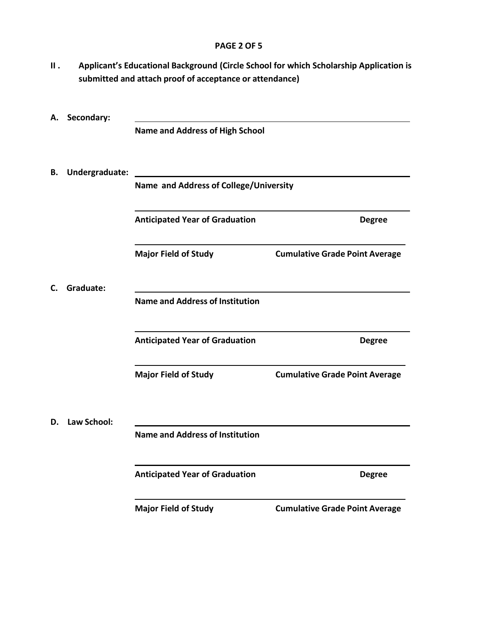#### **PAGE 2 OF 5**

**II . Applicant's Educational Background (Circle School for which Scholarship Application is submitted and attach proof of acceptance or attendance)**

| А. | Secondary:         |                                        |                                       |  |  |  |  |
|----|--------------------|----------------------------------------|---------------------------------------|--|--|--|--|
|    |                    | <b>Name and Address of High School</b> |                                       |  |  |  |  |
| В. | Undergraduate:     |                                        |                                       |  |  |  |  |
|    |                    | Name and Address of College/University |                                       |  |  |  |  |
|    |                    | <b>Anticipated Year of Graduation</b>  | <b>Degree</b>                         |  |  |  |  |
|    |                    | <b>Major Field of Study</b>            | <b>Cumulative Grade Point Average</b> |  |  |  |  |
| C. | Graduate:          |                                        |                                       |  |  |  |  |
|    |                    | <b>Name and Address of Institution</b> |                                       |  |  |  |  |
|    |                    | <b>Anticipated Year of Graduation</b>  | <b>Degree</b>                         |  |  |  |  |
|    |                    | <b>Major Field of Study</b>            | <b>Cumulative Grade Point Average</b> |  |  |  |  |
| D. | <b>Law School:</b> |                                        |                                       |  |  |  |  |
|    |                    | <b>Name and Address of Institution</b> |                                       |  |  |  |  |
|    |                    | <b>Anticipated Year of Graduation</b>  | <b>Degree</b>                         |  |  |  |  |
|    |                    | <b>Major Field of Study</b>            | <b>Cumulative Grade Point Average</b> |  |  |  |  |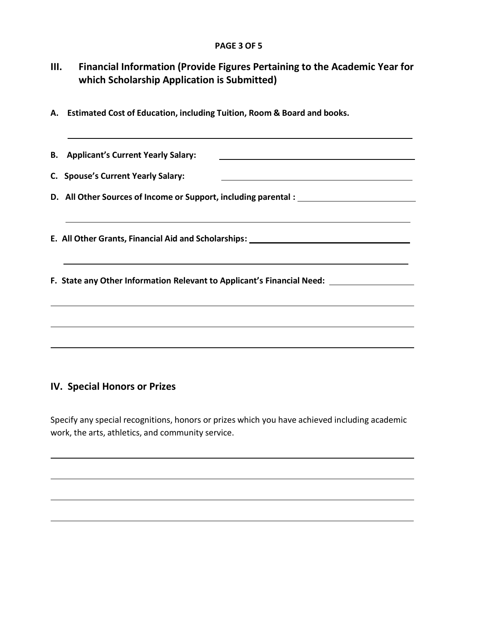#### **PAGE 3 OF 5**

## **III. Financial Information (Provide Figures Pertaining to the Academic Year for which Scholarship Application is Submitted)**

**A. Estimated Cost of Education, including Tuition, Room & Board and books.**

**B. Applicant's Current Yearly Salary: C. Spouse's Current Yearly Salary: D. All Other Sources of Income or Support, including parental : E. All Other Grants, Financial Aid and Scholarships: F. State any Other Information Relevant to Applicant's Financial Need:** 

#### **IV. Special Honors or Prizes**

Specify any special recognitions, honors or prizes which you have achieved including academic work, the arts, athletics, and community service.